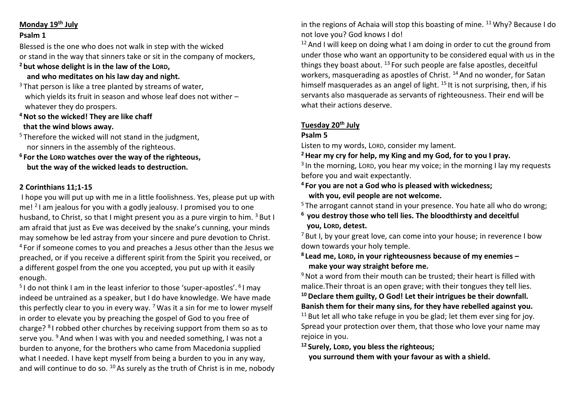## **Monday 19th July**

## **Psalm 1**

Blessed is the one who does not walk in step with the wicked or stand in the way that sinners take or sit in the company of mockers,

#### **<sup>2</sup> but whose delight is in the law of the LORD, and who meditates on his law day and night.**

 $3$  That person is like a tree planted by streams of water. which yields its fruit in season and whose leaf does not wither – whatever they do prospers.

- **<sup>4</sup>Not so the wicked! They are like chaff that the wind blows away.**
- $5$  Therefore the wicked will not stand in the judgment, nor sinners in the assembly of the righteous.
- **<sup>6</sup> For the LORD watches over the way of the righteous, but the way of the wicked leads to destruction.**

## **2 Corinthians 11;1-15**

I hope you will put up with me in a little foolishness. Yes, please put up with me! <sup>2</sup> I am jealous for you with a godly jealousy. I promised you to one husband, to Christ, so that I might present you as a pure virgin to him. <sup>3</sup> But I am afraid that just as Eve was deceived by the snake's cunning, your minds may somehow be led astray from your sincere and pure devotion to Christ. <sup>4</sup> For if someone comes to you and preaches a Jesus other than the Jesus we preached, or if you receive a different spirit from the Spirit you received, or a different gospel from the one you accepted, you put up with it easily enough.

<sup>5</sup>I do not think I am in the least inferior to those 'super-apostles'. <sup>6</sup>I may indeed be untrained as a speaker, but I do have knowledge. We have made this perfectly clear to you in every way. <sup>7</sup> Was it a sin for me to lower myself in order to elevate you by preaching the gospel of God to you free of charge? <sup>8</sup> I robbed other churches by receiving support from them so as to serve you. <sup>9</sup> And when I was with you and needed something, I was not a burden to anyone, for the brothers who came from Macedonia supplied what I needed. I have kept myself from being a burden to you in any way, and will continue to do so. <sup>10</sup> As surely as the truth of Christ is in me, nobody in the regions of Achaia will stop this boasting of mine.  $11$  Why? Because I do not love you? God knows I do!

 $12$  And I will keep on doing what I am doing in order to cut the ground from under those who want an opportunity to be considered equal with us in the things they boast about.  $^{13}$  For such people are false apostles, deceitful workers, masquerading as apostles of Christ.<sup>14</sup> And no wonder, for Satan himself masquerades as an angel of light.  $15$  It is not surprising, then, if his servants also masquerade as servants of righteousness. Their end will be what their actions deserve.

# **Tuesday 20th July**

## **Psalm 5**

Listen to my words, LORD, consider my lament.

**<sup>2</sup>Hear my cry for help, my King and my God, for to you I pray.**

<sup>3</sup> In the morning, Lorp, you hear my voice; in the morning I lay my requests before you and wait expectantly.

# **<sup>4</sup> For you are not a God who is pleased with wickedness; with you, evil people are not welcome.**

<sup>5</sup> The arrogant cannot stand in your presence. You hate all who do wrong;

**<sup>6</sup> you destroy those who tell lies. The bloodthirsty and deceitful you, LORD, detest.**

 $<sup>7</sup>$  But I, by your great love, can come into your house; in reverence I bow</sup> down towards your holy temple.

**8 Lead me, LORD, in your righteousness because of my enemies – make your way straight before me.**

<sup>9</sup> Not a word from their mouth can be trusted; their heart is filled with malice.Their throat is an open grave; with their tongues they tell lies.

**<sup>10</sup>Declare them guilty, O God! Let their intrigues be their downfall. Banish them for their many sins, for they have rebelled against you.**  $11$  But let all who take refuge in you be glad; let them ever sing for joy. Spread your protection over them, that those who love your name may rejoice in you.

**<sup>12</sup> Surely, LORD, you bless the righteous;**

 **you surround them with your favour as with a shield.**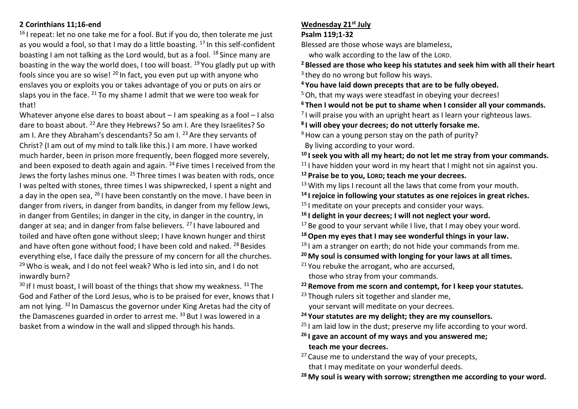## **2 Corinthians 11;16-end**

 $16$  I repeat: let no one take me for a fool. But if you do, then tolerate me just as you would a fool, so that I may do a little boasting. <sup>17</sup> In this self-confident boasting I am not talking as the Lord would, but as a fool. <sup>18</sup> Since many are boasting in the way the world does, I too will boast. <sup>19</sup> You gladly put up with fools since you are so wise! <sup>20</sup> In fact, you even put up with anyone who enslaves you or exploits you or takes advantage of you or puts on airs or slaps you in the face.  $^{21}$  To my shame I admit that we were too weak for that!

Whatever anyone else dares to boast about – I am speaking as a fool – I also dare to boast about. <sup>22</sup> Are they Hebrews? So am I. Are they Israelites? So am I. Are they Abraham's descendants? So am I. <sup>23</sup> Are they servants of Christ? (I am out of my mind to talk like this.) I am more. I have worked much harder, been in prison more frequently, been flogged more severely, and been exposed to death again and again. <sup>24</sup> Five times I received from the Jews the forty lashes minus one. <sup>25</sup> Three times I was beaten with rods, once I was pelted with stones, three times I was shipwrecked, I spent a night and a day in the open sea, <sup>26</sup> I have been constantly on the move. I have been in danger from rivers, in danger from bandits, in danger from my fellow Jews, in danger from Gentiles; in danger in the city, in danger in the country, in danger at sea; and in danger from false believers. <sup>27</sup> I have laboured and toiled and have often gone without sleep; I have known hunger and thirst and have often gone without food; I have been cold and naked. <sup>28</sup> Besides everything else, I face daily the pressure of my concern for all the churches.  $29$  Who is weak, and I do not feel weak? Who is led into sin, and I do not inwardly burn?

 $30$  If I must boast, I will boast of the things that show my weakness.  $31$  The God and Father of the Lord Jesus, who is to be praised for ever, knows that I am not lying. <sup>32</sup> In Damascus the governor under King Aretas had the city of the Damascenes guarded in order to arrest me. <sup>33</sup> But I was lowered in a basket from a window in the wall and slipped through his hands.

#### **Wednesday 21st July**

#### **Psalm 119;1-32**

Blessed are those whose ways are blameless,

who walk according to the law of the LORD.

**<sup>2</sup> Blessed are those who keep his statutes and seek him with all their heart** <sup>3</sup> they do no wrong but follow his ways.

**<sup>4</sup> You have laid down precepts that are to be fully obeyed.**

<sup>5</sup> Oh, that my ways were steadfast in obeying your decrees!

**<sup>6</sup> Then I would not be put to shame when I consider all your commands.**

 $^7$ I will praise you with an upright heart as I learn your righteous laws.

**8 I will obey your decrees; do not utterly forsake me.**

 $9$  How can a young person stay on the path of purity?

By living according to your word.

**<sup>10</sup> I seek you with all my heart; do not let me stray from your commands.**

<sup>11</sup> I have hidden your word in my heart that I might not sin against you.

**<sup>12</sup> Praise be to you, LORD; teach me your decrees.**

<sup>13</sup> With my lips I recount all the laws that come from your mouth.

**<sup>14</sup> I rejoice in following your statutes as one rejoices in great riches.**

- $15$  I meditate on your precepts and consider your ways.
- **<sup>16</sup> I delight in your decrees; I will not neglect your word.**

 $17$  Be good to your servant while I live, that I may obey your word.

- **<sup>18</sup>Open my eyes that I may see wonderful things in your law.**
- <sup>19</sup> I am a stranger on earth; do not hide your commands from me.

**<sup>20</sup> My soul is consumed with longing for your laws at all times.**

 $21$  You rebuke the arrogant, who are accursed, those who stray from your commands.

**<sup>22</sup> Remove from me scorn and contempt, for I keep your statutes.**

- <sup>23</sup> Though rulers sit together and slander me, your servant will meditate on your decrees.
- **<sup>24</sup> Your statutes are my delight; they are my counsellors.**
- $25$  I am laid low in the dust; preserve my life according to your word.
- **<sup>26</sup> I gave an account of my ways and you answered me; teach me your decrees.**
- $27$  Cause me to understand the way of your precepts, that I may meditate on your wonderful deeds.
- **<sup>28</sup> My soul is weary with sorrow; strengthen me according to your word.**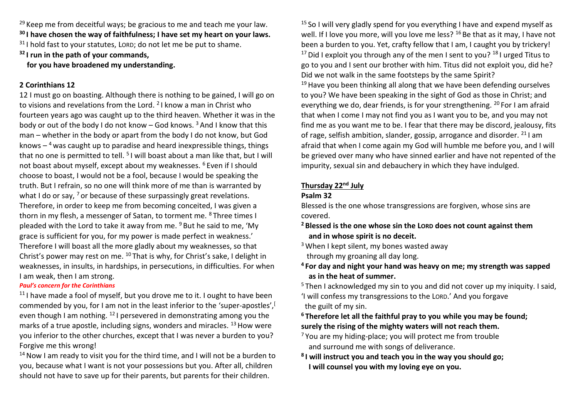$29$  Keep me from deceitful ways; be gracious to me and teach me your law. **<sup>30</sup> I have chosen the way of faithfulness; I have set my heart on your laws.**

<sup>31</sup> I hold fast to your statutes, LORD; do not let me be put to shame.

**<sup>32</sup> I run in the path of your commands,**

 **for you have broadened my understanding.**

## **2 Corinthians 12**

12 I must go on boasting. Although there is nothing to be gained, I will go on to visions and revelations from the Lord.  $21$  know a man in Christ who fourteen years ago was caught up to the third heaven. Whether it was in the body or out of the body I do not know – God knows.  $3$  And I know that this man – whether in the body or apart from the body I do not know, but God knows – <sup>4</sup> was caught up to paradise and heard inexpressible things, things that no one is permitted to tell. <sup>5</sup> I will boast about a man like that, but I will not boast about myself, except about my weaknesses. <sup>6</sup> Even if I should choose to boast, I would not be a fool, because I would be speaking the truth. But I refrain, so no one will think more of me than is warranted by what I do or say,  $7$  or because of these surpassingly great revelations. Therefore, in order to keep me from becoming conceited, I was given a thorn in my flesh, a messenger of Satan, to torment me. <sup>8</sup> Three times I pleaded with the Lord to take it away from me.  $9$  But he said to me, 'My grace is sufficient for you, for my power is made perfect in weakness.' Therefore I will boast all the more gladly about my weaknesses, so that Christ's power may rest on me. <sup>10</sup> That is why, for Christ's sake, I delight in weaknesses, in insults, in hardships, in persecutions, in difficulties. For when I am weak, then I am strong.

#### *Paul's concern for the Corinthians*

 $11$  I have made a fool of myself, but you drove me to it. I ought to have been commended by you, for I am not in the least inferior to the 'super-apostles', [ even though I am nothing. <sup>12</sup> I persevered in demonstrating among you the marks of a true apostle, including signs, wonders and miracles.  $^{13}$  How were you inferior to the other churches, except that I was never a burden to you? Forgive me this wrong!

 $14$  Now I am ready to visit you for the third time, and I will not be a burden to you, because what I want is not your possessions but you. After all, children should not have to save up for their parents, but parents for their children.

<sup>15</sup> So I will very gladly spend for you everything I have and expend myself as well. If I love you more, will you love me less?  $^{16}$  Be that as it may, I have not been a burden to you. Yet, crafty fellow that I am, I caught you by trickery! <sup>17</sup> Did I exploit you through any of the men I sent to you?  $181$  urged Titus to go to you and I sent our brother with him. Titus did not exploit you, did he? Did we not walk in the same footsteps by the same Spirit?

 $19$  Have you been thinking all along that we have been defending ourselves to you? We have been speaking in the sight of God as those in Christ; and everything we do, dear friends, is for your strengthening. <sup>20</sup> For I am afraid that when I come I may not find you as I want you to be, and you may not find me as you want me to be. I fear that there may be discord, jealousy, fits of rage, selfish ambition, slander, gossip, arrogance and disorder. <sup>21</sup> I am afraid that when I come again my God will humble me before you, and I will be grieved over many who have sinned earlier and have not repented of the impurity, sexual sin and debauchery in which they have indulged.

# **Thursday 22nd July**

#### **Psalm 32**

Blessed is the one whose transgressions are forgiven, whose sins are covered.

**<sup>2</sup> Blessed is the one whose sin the LORD does not count against them and in whose spirit is no deceit.**

 $3$  When I kept silent, my bones wasted away through my groaning all day long.

**<sup>4</sup> For day and night your hand was heavy on me; my strength was sapped as in the heat of summer.**

<sup>5</sup> Then I acknowledged my sin to you and did not cover up my iniquity. I said,

'I will confess my transgressions to the LORD.' And you forgave the guilt of my sin.

# **<sup>6</sup> Therefore let all the faithful pray to you while you may be found; surely the rising of the mighty waters will not reach them.**

- <sup>7</sup> You are my hiding-place; you will protect me from trouble and surround me with songs of deliverance.
- **8 I will instruct you and teach you in the way you should go; I will counsel you with my loving eye on you.**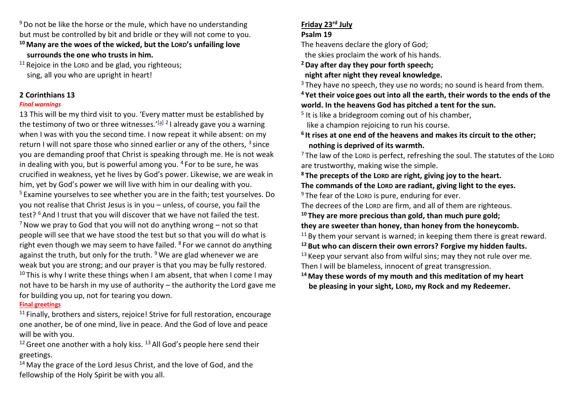$9$  Do not be like the horse or the mule, which have no understanding but must be controlled by bit and bridle or they will not come to you.

- **<sup>10</sup> Many are the woes of the wicked, but the LORD's unfailing love surrounds the one who trusts in him.**
- $11$  Rejoice in the LORD and be glad, you righteous; sing, all you who are upright in heart!

# **2 Corinthians 13**

#### *Final warnings*

13 This will be my third visit to you. 'Every matter must be established by the testimony of two or three witnesses.'<sup>[\[a\]](https://www.biblegateway.com/passage/?search=2+corinthians+13&version=NIVUK#fen-NIVUK-29045a) 2</sup> I already gave you a warning when I was with you the second time. I now repeat it while absent: on my return I will not spare those who sinned earlier or any of the others,  $3$  since you are demanding proof that Christ is speaking through me. He is not weak in dealing with you, but is powerful among you.  $4$  For to be sure, he was crucified in weakness, yet he lives by God's power. Likewise, we are weak in him, yet by God's power we will live with him in our dealing with you. <sup>5</sup> Examine yourselves to see whether you are in the faith; test yourselves. Do you not realise that Christ Jesus is in you – unless, of course, you fail the test? <sup>6</sup> And I trust that you will discover that we have not failed the test.  $<sup>7</sup>$  Now we pray to God that you will not do anything wrong – not so that</sup> people will see that we have stood the test but so that you will do what is right even though we may seem to have failed. <sup>8</sup> For we cannot do anything against the truth, but only for the truth.  $9$  We are glad whenever we are weak but you are strong; and our prayer is that you may be fully restored. <sup>10</sup> This is why I write these things when I am absent, that when I come I may not have to be harsh in my use of authority – the authority the Lord gave me for building you up, not for tearing you down.

## **Final greetings**

<sup>11</sup> Finally, brothers and sisters, rejoice! Strive for full restoration, encourage one another, be of one mind, live in peace. And the God of love and peace will be with you.

<sup>12</sup> Greet one another with a holy kiss.  $^{13}$  All God's people here send their greetings.

 $14$  May the grace of the Lord Jesus Christ, and the love of God, and the fellowship of the Holy Spirit be with you all.

# **Friday 23rd July**

## **Psalm 19**

The heavens declare the glory of God;

the skies proclaim the work of his hands.

**<sup>2</sup>Day after day they pour forth speech;**

 **night after night they reveal knowledge.**

 $3$  They have no speech, they use no words; no sound is heard from them.

**<sup>4</sup> Yet their voice goes out into all the earth, their words to the ends of the world. In the heavens God has pitched a tent for the sun.**

<sup>5</sup> It is like a bridegroom coming out of his chamber,

like a champion rejoicing to run his course.

# **6 It rises at one end of the heavens and makes its circuit to the other; nothing is deprived of its warmth.**

 $7$  The law of the LORD is perfect, refreshing the soul. The statutes of the LORD are trustworthy, making wise the simple.

**<sup>8</sup> The precepts of the LORD are right, giving joy to the heart.**

**The commands of the LORD are radiant, giving light to the eyes.**  $9$  The fear of the LORD is pure, enduring for ever.

The decrees of the LORD are firm, and all of them are righteous.

 **They are more precious than gold, than much pure gold; they are sweeter than honey, than honey from the honeycomb.** By them your servant is warned; in keeping them there is great reward. **But who can discern their own errors? Forgive my hidden faults.** Keep your servant also from wilful sins; may they not rule over me. Then I will be blameless, innocent of great transgression.

**<sup>14</sup> May these words of my mouth and this meditation of my heart be pleasing in your sight, LORD, my Rock and my Redeemer.**